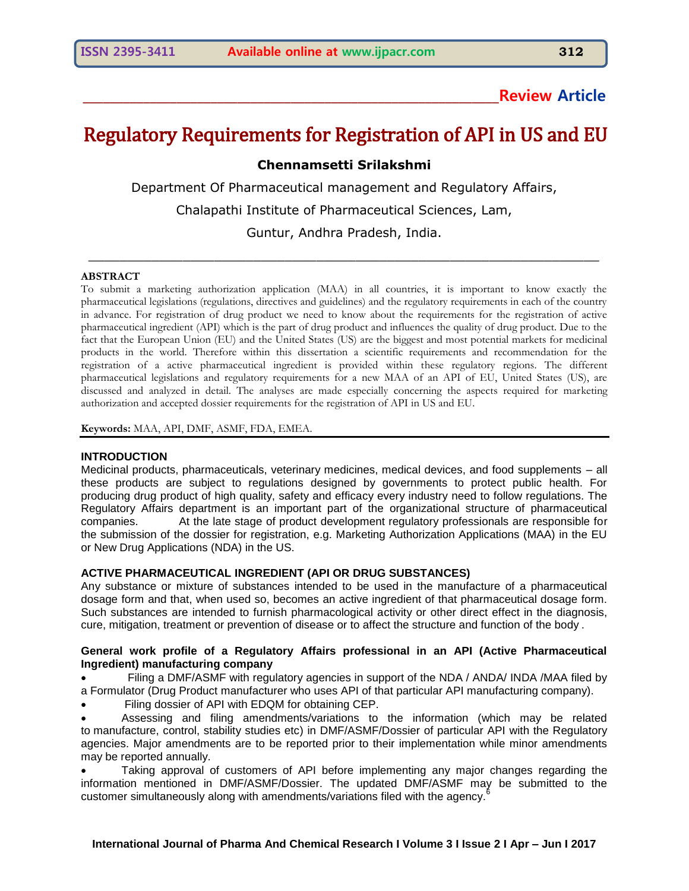# **\_\_\_\_\_\_\_\_\_\_\_\_\_\_\_\_\_\_\_\_\_\_\_\_\_\_\_\_\_\_\_\_\_\_\_\_\_\_\_\_\_\_\_\_\_\_\_\_\_\_\_\_\_\_\_\_\_\_\_\_\_\_Review Article**

# Regulatory Requirements for Registration of API in US and EU

# **Chennamsetti Srilakshmi**

Department Of Pharmaceutical management and Regulatory Affairs,

Chalapathi Institute of Pharmaceutical Sciences, Lam,

Guntur, Andhra Pradesh, India.

\_\_\_\_\_\_\_\_\_\_\_\_\_\_\_\_\_\_\_\_\_\_\_\_\_\_\_\_\_\_\_\_\_\_\_\_\_\_\_\_\_\_\_\_\_\_\_\_\_\_\_\_\_\_\_\_\_\_\_\_\_\_\_\_\_

#### **ABSTRACT**

To submit a marketing authorization application (MAA) in all countries, it is important to know exactly the pharmaceutical legislations (regulations, directives and guidelines) and the regulatory requirements in each of the country in advance. For registration of drug product we need to know about the requirements for the registration of active pharmaceutical ingredient (API) which is the part of drug product and influences the quality of drug product. Due to the fact that the European Union (EU) and the United States (US) are the biggest and most potential markets for medicinal products in the world. Therefore within this dissertation a scientific requirements and recommendation for the registration of a active pharmaceutical ingredient is provided within these regulatory regions. The different pharmaceutical legislations and regulatory requirements for a new MAA of an API of EU, United States (US), are discussed and analyzed in detail. The analyses are made especially concerning the aspects required for marketing authorization and accepted dossier requirements for the registration of API in US and EU.

**Keywords:** MAA, API, DMF, ASMF, FDA, EMEA.

#### **INTRODUCTION**

Medicinal products, pharmaceuticals, veterinary medicines, medical devices, and food supplements – all these products are subject to regulations designed by governments to protect public health. For producing drug product of high quality, safety and efficacy every industry need to follow regulations. The Regulatory Affairs department is an important part of the organizational structure of pharmaceutical companies. At the late stage of product development regulatory professionals are responsible for the submission of the dossier for registration, e.g. Marketing Authorization Applications (MAA) in the EU or New Drug Applications (NDA) in the US.

# **ACTIVE PHARMACEUTICAL INGREDIENT (API OR DRUG SUBSTANCES)**

Any substance or mixture of substances intended to be used in the manufacture of a pharmaceutical dosage form and that, when used so, becomes an active ingredient of that pharmaceutical dosage form. Such substances are intended to furnish pharmacological activity or other direct effect in the diagnosis, cure, mitigation, treatment or prevention of disease or to affect the structure and function of the body .

#### **General work profile of a Regulatory Affairs professional in an API (Active Pharmaceutical Ingredient) manufacturing company**

 Filing a DMF/ASMF with regulatory agencies in support of the NDA / ANDA/ INDA /MAA filed by a Formulator (Drug Product manufacturer who uses API of that particular API manufacturing company).

Filing dossier of API with EDQM for obtaining CEP.

 Assessing and filing amendments/variations to the information (which may be related to manufacture, control, stability studies etc) in DMF/ASMF/Dossier of particular API with the Regulatory agencies. Major amendments are to be reported prior to their implementation while minor amendments may be reported annually.

 Taking approval of customers of API before implementing any major changes regarding the information mentioned in DMF/ASMF/Dossier. The updated DMF/ASMF may be submitted to the customer simultaneously along with amendments/variations filed with the agency.<sup>6</sup>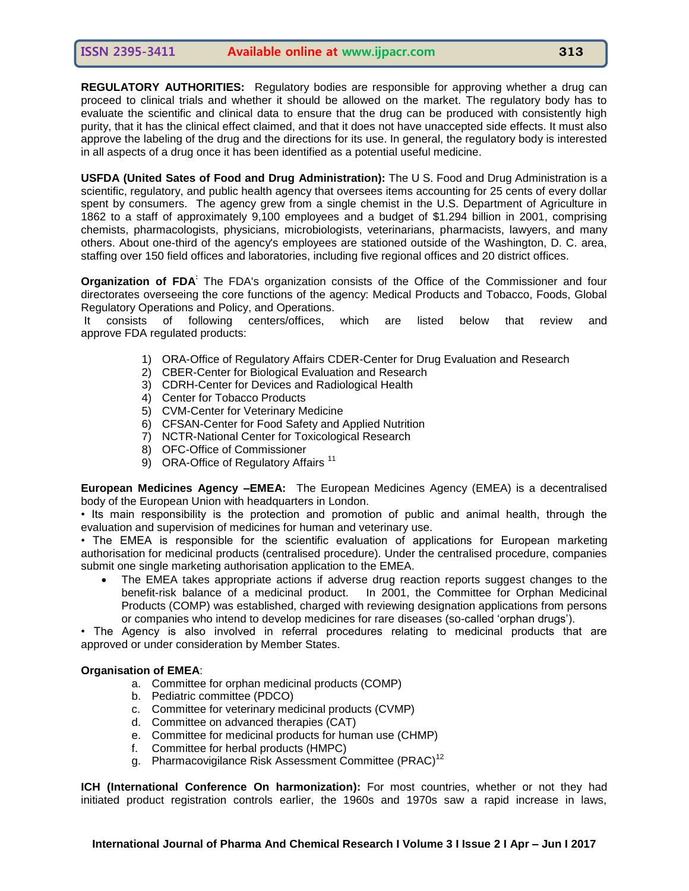**REGULATORY AUTHORITIES:** Regulatory bodies are responsible for approving whether a drug can proceed to clinical trials and whether it should be allowed on the market. The regulatory body has to evaluate the scientific and clinical data to ensure that the drug can be produced with consistently high purity, that it has the clinical effect claimed, and that it does not have unaccepted side effects. It must also approve the labeling of the drug and the directions for its use. In general, the regulatory body is interested in all aspects of a drug once it has been identified as a potential useful medicine.

**USFDA (United Sates of Food and Drug Administration):** The U S. Food and Drug Administration is a scientific, regulatory, and public health agency that oversees items accounting for 25 cents of every dollar spent by consumers. The agency grew from a single chemist in the U.S. Department of Agriculture in 1862 to a staff of approximately 9,100 employees and a budget of \$1.294 billion in 2001, comprising chemists, pharmacologists, physicians, microbiologists, veterinarians, pharmacists, lawyers, and many others. About one-third of the agency's employees are stationed outside of the Washington, D. C. area, staffing over 150 field offices and laboratories, including five regional offices and 20 district offices.

**Organization of FDA<sup>:</sup>** The FDA's organization consists of the Office of the Commissioner and four directorates overseeing the core functions of the agency: Medical Products and Tobacco, Foods, Global Regulatory Operations and Policy, and Operations.

It consists of following centers/offices, which are listed below that review and approve FDA regulated products:

- 1) ORA-Office of Regulatory Affairs CDER-Center for Drug Evaluation and Research
- 2) CBER-Center for Biological Evaluation and Research
- 3) CDRH-Center for Devices and Radiological Health
- 4) Center for Tobacco Products
- 5) CVM-Center for Veterinary Medicine
- 6) CFSAN-Center for Food Safety and Applied Nutrition
- 7) NCTR-National Center for Toxicological Research
- 8) OFC-Office of Commissioner
- 9) ORA-Office of Regulatory Affairs<sup>11</sup>

**European Medicines Agency –EMEA:** The European Medicines Agency (EMEA) is a decentralised body of the European Union with headquarters in London.

• Its main responsibility is the protection and promotion of public and animal health, through the evaluation and supervision of medicines for human and veterinary use.

• The EMEA is responsible for the scientific evaluation of applications for European marketing authorisation for medicinal products (centralised procedure). Under the centralised procedure, companies submit one single marketing authorisation application to the EMEA.

 The EMEA takes appropriate actions if adverse drug reaction reports suggest changes to the benefit-risk balance of a medicinal product. In 2001, the Committee for Orphan Medicinal Products (COMP) was established, charged with reviewing designation applications from persons or companies who intend to develop medicines for rare diseases (so-called 'orphan drugs').

• The Agency is also involved in referral procedures relating to medicinal products that are approved or under consideration by Member States.

#### **Organisation of EMEA**:

- a. Committee for orphan medicinal products (COMP)
- b. Pediatric committee (PDCO)
- c. Committee for veterinary medicinal products (CVMP)
- d. Committee on advanced therapies (CAT)
- e. Committee for medicinal products for human use (CHMP)
- f. Committee for herbal products (HMPC)
- g. [Pharmacovigilance](http://www.ema.europa.eu/ema/index.jsp?curl=pages/about_us/general/general_content_000537.jsp&mid=) Risk Assessment Committee (PRAC)<sup>12</sup>

**ICH (International Conference On harmonization):** For most countries, whether or not they had initiated product registration controls earlier, the 1960s and 1970s saw a rapid increase in laws,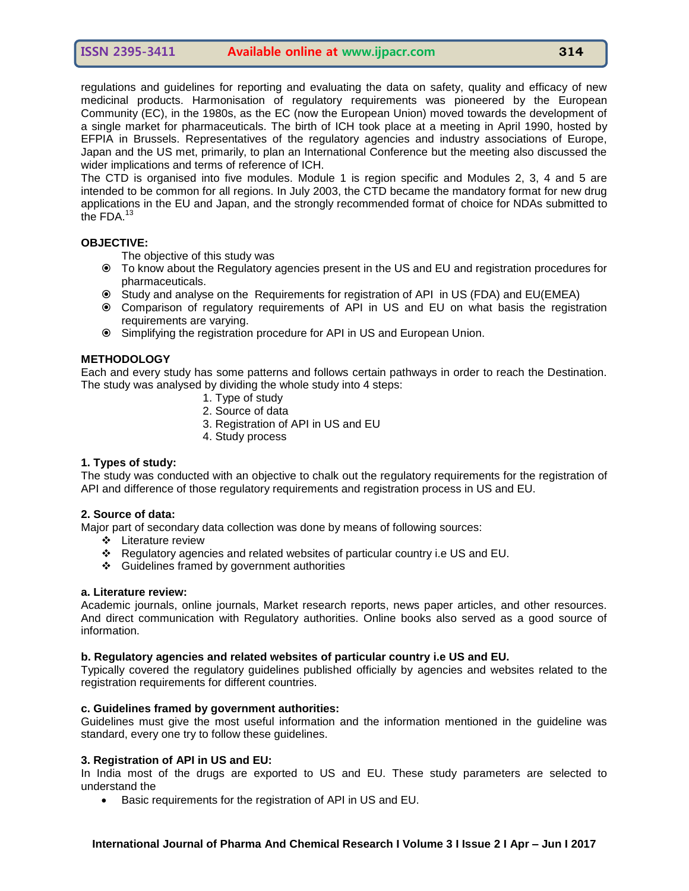regulations and guidelines for reporting and evaluating the data on safety, quality and efficacy of new medicinal products. Harmonisation of regulatory requirements was pioneered by the European Community (EC), in the 1980s, as the EC (now the European Union) moved towards the development of a single market for pharmaceuticals. The birth of ICH took place at a meeting in April 1990, hosted by EFPIA in Brussels. Representatives of the regulatory agencies and industry associations of Europe, Japan and the US met, primarily, to plan an International Conference but the meeting also discussed the wider implications and terms of reference of ICH.

The CTD is organised into five modules. Module 1 is region specific and Modules 2, 3, 4 and 5 are intended to be common for all regions. In July 2003, the CTD became the mandatory format for new drug applications in the EU and Japan, and the strongly recommended format of choice for NDAs submitted to the FDA.<sup>13</sup>

# **OBJECTIVE:**

The objective of this study was

- To know about the Regulatory agencies present in the US and EU and registration procedures for pharmaceuticals.
- Study and analyse on the Requirements for registration of API in US (FDA) and EU(EMEA)
- Comparison of regulatory requirements of API in US and EU on what basis the registration requirements are varying.
- Simplifying the registration procedure for API in US and European Union.

# **METHODOLOGY**

Each and every study has some patterns and follows certain pathways in order to reach the Destination. The study was analysed by dividing the whole study into 4 steps:

- 1. Type of study
- 2. Source of data
- 3. Registration of API in US and EU
- 4. Study process

#### **1. Types of study:**

The study was conducted with an objective to chalk out the regulatory requirements for the registration of API and difference of those regulatory requirements and registration process in US and EU.

#### **2. Source of data:**

Major part of secondary data collection was done by means of following sources:

- Literature review
- Regulatory agencies and related websites of particular country i.e US and EU.
- Guidelines framed by government authorities

#### **a. Literature review:**

Academic journals, online journals, Market research reports, news paper articles, and other resources. And direct communication with Regulatory authorities. Online books also served as a good source of information.

#### **b. Regulatory agencies and related websites of particular country i.e US and EU.**

Typically covered the regulatory guidelines published officially by agencies and websites related to the registration requirements for different countries.

# **c. Guidelines framed by government authorities:**

Guidelines must give the most useful information and the information mentioned in the guideline was standard, every one try to follow these guidelines.

#### **3. Registration of API in US and EU:**

In India most of the drugs are exported to US and EU. These study parameters are selected to understand the

Basic requirements for the registration of API in US and EU.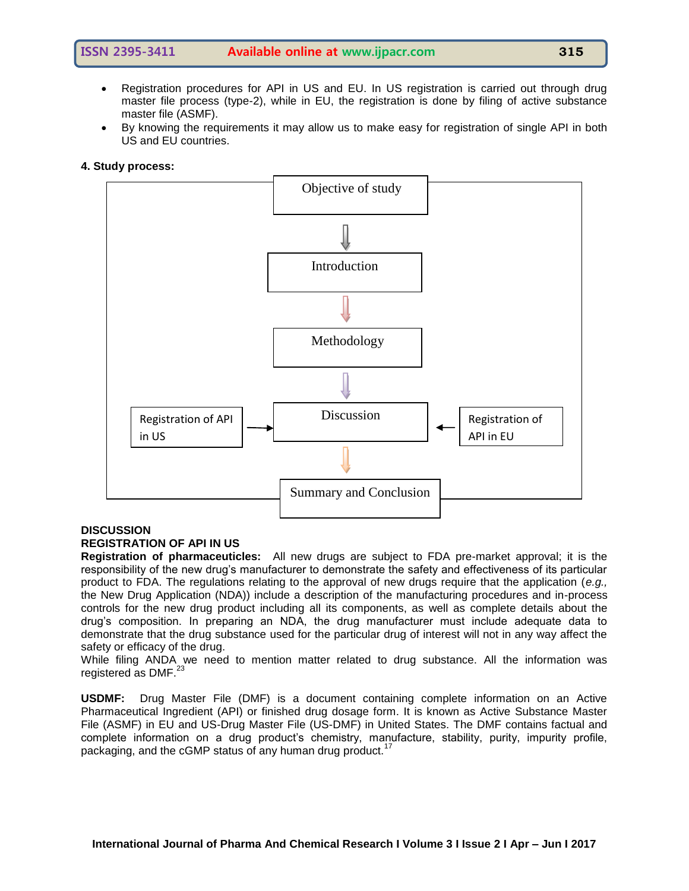- 
- Registration procedures for API in US and EU. In US registration is carried out through drug master file process (type-2), while in EU, the registration is done by filing of active substance master file (ASMF).
- By knowing the requirements it may allow us to make easy for registration of single API in both US and EU countries.

#### **4. Study process:**



#### **DISCUSSION**

#### **REGISTRATION OF API IN US**

**Registration of pharmaceuticles:** All new drugs are subject to FDA pre-market approval; it is the responsibility of the new drug's manufacturer to demonstrate the safety and effectiveness of its particular product to FDA. The regulations relating to the approval of new drugs require that the application (*e.g.,*  the New Drug Application (NDA)) include a description of the manufacturing procedures and in-process controls for the new drug product including all its components, as well as complete details about the drug's composition. In preparing an NDA, the drug manufacturer must include adequate data to demonstrate that the drug substance used for the particular drug of interest will not in any way affect the safety or efficacy of the drug.

While filing ANDA we need to mention matter related to drug substance. All the information was registered as DMF.<sup>23</sup>

**USDMF:** Drug Master File (DMF) is a document containing complete information on an Active Pharmaceutical Ingredient (API) or finished drug dosage form. It is known as Active Substance Master File (ASMF) in EU and US-Drug Master File (US-DMF) in United States. The DMF contains factual and complete information on a drug product's chemistry, manufacture, stability, purity, impurity profile, packaging, and the cGMP status of any human drug product.<sup>17</sup>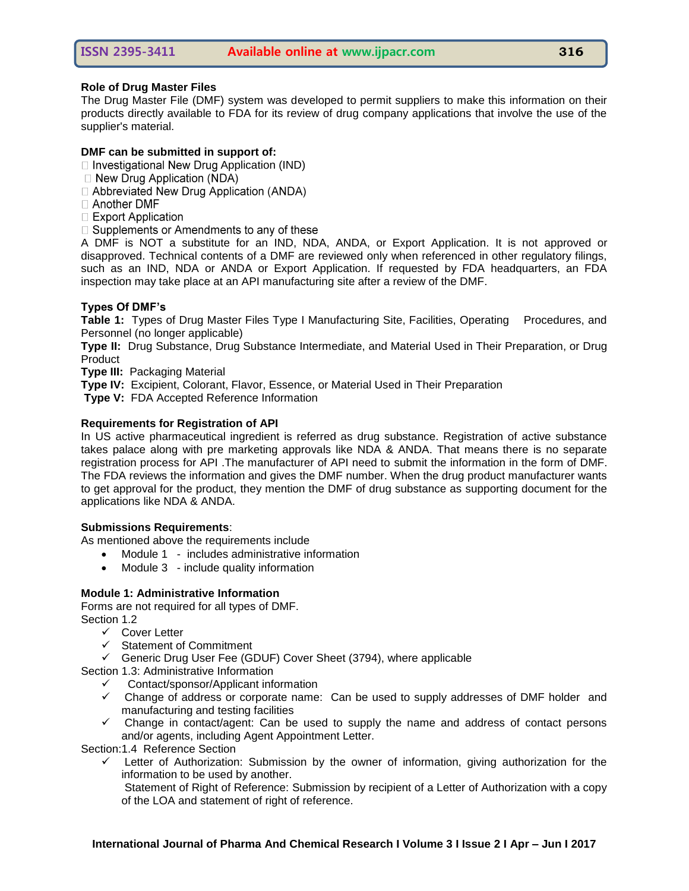# **Role of Drug Master Files**

The Drug Master File (DMF) system was developed to permit suppliers to make this information on their products directly available to FDA for its review of drug company applications that involve the use of the supplier's material.

# **DMF can be submitted in support of:**

 $\Box$  Investigational New Drug Application (IND)

- $\Box$  New Drug Application (NDA)
- □ Abbreviated New Drug Application (ANDA)
- □ Another DMF
- □ Export Application
- $\Box$  Supplements or Amendments to any of these

A DMF is NOT a substitute for an IND, NDA, ANDA, or Export Application. It is not approved or disapproved. Technical contents of a DMF are reviewed only when referenced in other regulatory filings, such as an IND, NDA or ANDA or Export Application. If requested by FDA headquarters, an FDA inspection may take place at an API manufacturing site after a review of the DMF.

# **Types Of DMF's**

**Table 1:** Types of Drug Master Files Type I Manufacturing Site, Facilities, Operating Procedures, and Personnel (no longer applicable)

**Type II:** Drug Substance, Drug Substance Intermediate, and Material Used in Their Preparation, or Drug Product

**Type III:** Packaging Material

**Type IV:** Excipient, Colorant, Flavor, Essence, or Material Used in Their Preparation

**Type V:** FDA Accepted Reference Information

# **Requirements for Registration of API**

In US active pharmaceutical ingredient is referred as drug substance. Registration of active substance takes palace along with pre marketing approvals like NDA & ANDA. That means there is no separate registration process for API .The manufacturer of API need to submit the information in the form of DMF. The FDA reviews the information and gives the DMF number. When the drug product manufacturer wants to get approval for the product, they mention the DMF of drug substance as supporting document for the applications like NDA & ANDA.

# **Submissions Requirements**:

As mentioned above the requirements include

- Module 1 includes administrative information
- Module 3 include quality information

# **Module 1: Administrative Information**

# Forms are not required for all types of DMF.

Section 1.2

- Cover Letter
- $\checkmark$  Statement of Commitment
- Generic Drug User Fee (GDUF) Cover Sheet (3794), where applicable

Section 1.3: Administrative Information

- $\checkmark$  Contact/sponsor/Applicant information
- $\checkmark$  Change of address or corporate name: Can be used to supply addresses of DMF holder and manufacturing and testing facilities
- $\checkmark$  Change in contact/agent: Can be used to supply the name and address of contact persons and/or agents, including Agent Appointment Letter.

Section:1.4 Reference Section

 $\checkmark$  Letter of Authorization: Submission by the owner of information, giving authorization for the information to be used by another.

Statement of Right of Reference: Submission by recipient of a Letter of Authorization with a copy of the LOA and statement of right of reference.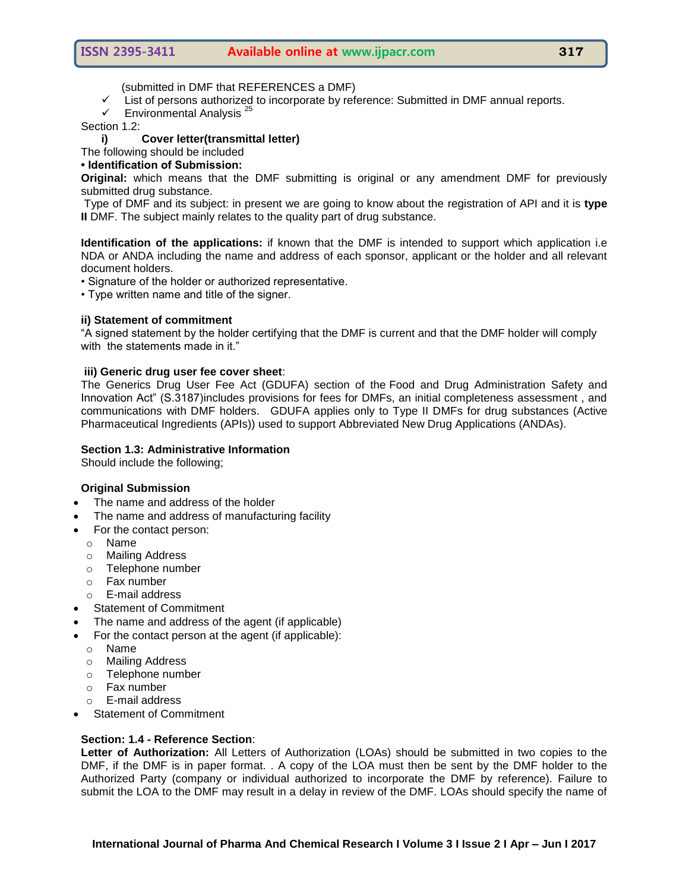(submitted in DMF that REFERENCES a DMF)

- $\checkmark$  List of persons authorized to incorporate by reference: Submitted in DMF annual reports.
- $\checkmark$  Environmental Analysis<sup>2</sup>

Section 1.2:

#### **i) Cover letter(transmittal letter)**

The following should be included

# **• Identification of Submission:**

**Original:** which means that the DMF submitting is original or any amendment DMF for previously submitted drug substance.

Type of DMF and its subject: in present we are going to know about the registration of API and it is **type II** DMF. The subject mainly relates to the quality part of drug substance.

**Identification of the applications:** if known that the DMF is intended to support which application i.e NDA or ANDA including the name and address of each sponsor, applicant or the holder and all relevant document holders.

• Signature of the holder or authorized representative.

• Type written name and title of the signer.

#### **ii) Statement of commitment**

―A signed statement by the holder certifying that the DMF is current and that the DMF holder will comply with the statements made in it."

#### **iii) Generic drug user fee cover sheet**:

The Generics Drug User Fee Act (GDUFA) section of the [Food and Drug Administration Safety and](http://www.gpo.gov/fdsys/pkg/BILLS-112s3187enr/pdf/BILLS-112s3187enr.pdf)  Innovation Act" (S.3187)includes provisions for fees for DMFs, an initial completeness assessment, and communications with DMF holders. GDUFA applies only to Type II DMFs for drug substances (Active Pharmaceutical Ingredients (APIs)) used to support Abbreviated New Drug Applications (ANDAs).

#### **Section 1.3: Administrative Information**

Should include the following;

# **Original Submission**

- The name and address of the holder
- The name and address of manufacturing facility
- For the contact person:
	- o Name
	- o Mailing Address
	- o Telephone number
	- o Fax number
	- o E-mail address
- Statement of Commitment
- The name and address of the agent (if applicable)
- For the contact person at the agent (if applicable):
	- o Name
	- o Mailing Address
	- o Telephone number
	- o Fax number
	- o E-mail address
- [Statement of Commitment](http://www.fda.gov/Drugs/DevelopmentApprovalProcess/FormsSubmissionRequirements/DrugMasterFilesDMFs/default.htm#soc)

# **Section: 1.4 - Reference Section**:

**Letter of Authorization:** All Letters of Authorization (LOAs) should be submitted in two copies to the DMF, if the DMF is in paper format. . A copy of the LOA must then be sent by the DMF holder to the Authorized Party (company or individual authorized to incorporate the DMF by reference). Failure to submit the LOA to the DMF may result in a delay in review of the DMF. LOAs should specify the name of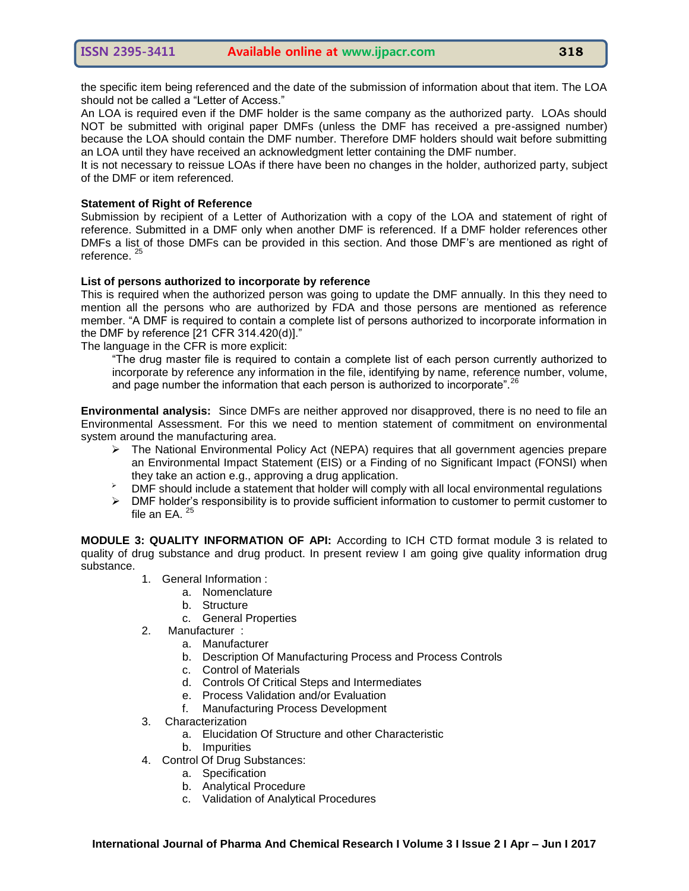the specific item being referenced and the date of the submission of information about that item. The LOA should not be called a "Letter of Access."

An LOA is required even if the DMF holder is the same company as the authorized party. LOAs should NOT be submitted with original paper DMFs (unless the DMF has received a pre-assigned number) because the LOA should contain the DMF number. Therefore DMF holders should wait before submitting an LOA until they have received an acknowledgment letter containing the DMF number.

It is not necessary to reissue LOAs if there have been no changes in the holder, authorized party, subject of the DMF or item referenced.

#### **Statement of Right of Reference**

Submission by recipient of a Letter of Authorization with a copy of the LOA and statement of right of reference. Submitted in a DMF only when another DMF is referenced. If a DMF holder references other DMFs a list of those DMFs can be provided in this section. And those DMF's are mentioned as right of reference.<sup>25</sup>

#### **List of persons authorized to incorporate by reference**

This is required when the authorized person was going to update the DMF annually. In this they need to mention all the persons who are authorized by FDA and those persons are mentioned as reference member. "A DMF is required to contain a complete list of persons authorized to incorporate information in the DMF by reference  $[21$  CFR 314.420(d)]."

The language in the CFR is more explicit:

―The drug master file is required to contain a complete list of each person currently authorized to incorporate by reference any information in the file, identifying by name, reference number, volume, and page number the information that each person is authorized to incorporate".  $26$ 

**Environmental analysis:** Since DMFs are neither approved nor disapproved, there is no need to file an Environmental Assessment. For this we need to mention statement of commitment on environmental system around the manufacturing area.

- The National Environmental Policy Act (NEPA) requires that all government agencies prepare an Environmental Impact Statement (EIS) or a Finding of no Significant Impact (FONSI) when they take an action e.g., approving a drug application.
- $\overrightarrow{P}$  DMF should include a statement that holder will comply with all local environmental regulations
- $\triangleright$  DMF holder's responsibility is to provide sufficient information to customer to permit customer to file an EA.<sup>25</sup>

**MODULE 3: QUALITY INFORMATION OF API:** According to ICH CTD format module 3 is related to quality of drug substance and drug product. In present review I am going give quality information drug substance.

- 1. General Information :
	- a. Nomenclature
	- b. Structure
	- c. General Properties
- 2. Manufacturer :
	- a. Manufacturer
	- b. Description Of Manufacturing Process and Process Controls
	- c. Control of Materials
	- d. Controls Of Critical Steps and Intermediates
	- e. Process Validation and/or Evaluation
	- f. Manufacturing Process Development
- 3. Characterization
	- a. Elucidation Of Structure and other Characteristic
	- b. Impurities
- 4. Control Of Drug Substances:
	- a. Specification
	- b. Analytical Procedure
	- c. Validation of Analytical Procedures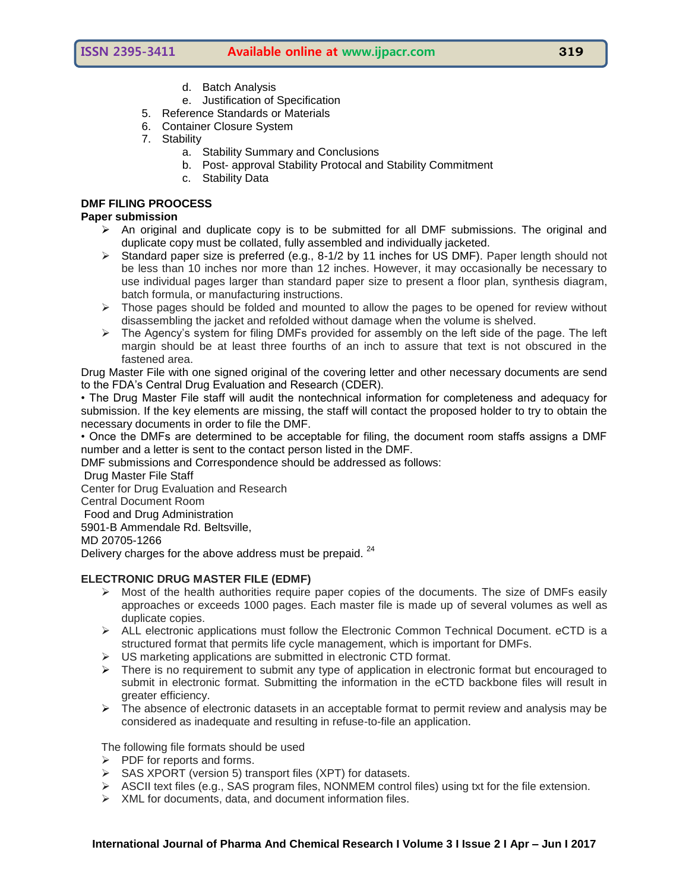- d. Batch Analysis
- e. Justification of Specification
- 5. Reference Standards or Materials
- 6. Container Closure System
- 7. Stability
	- a. Stability Summary and Conclusions
	- b. Post- approval Stability Protocal and Stability Commitment
	- c. Stability Data

# **DMF FILING PROOCESS**

# **Paper submission**

- $\triangleright$  An original and duplicate copy is to be submitted for all DMF submissions. The original and duplicate copy must be collated, fully assembled and individually jacketed.
- $\triangleright$  Standard paper size is preferred (e.g., 8-1/2 by 11 inches for US DMF). Paper length should not be less than 10 inches nor more than 12 inches. However, it may occasionally be necessary to use individual pages larger than standard paper size to present a floor plan, synthesis diagram, batch formula, or manufacturing instructions.
- $\triangleright$  Those pages should be folded and mounted to allow the pages to be opened for review without disassembling the jacket and refolded without damage when the volume is shelved.
- $\triangleright$  The Agency's system for filing DMFs provided for assembly on the left side of the page. The left margin should be at least three fourths of an inch to assure that text is not obscured in the fastened area.

Drug Master File with one signed original of the covering letter and other necessary documents are send to the FDA's Central Drug Evaluation and Research (CDER).

• The Drug Master File staff will audit the nontechnical information for completeness and adequacy for submission. If the key elements are missing, the staff will contact the proposed holder to try to obtain the necessary documents in order to file the DMF.

• Once the DMFs are determined to be acceptable for filing, the document room staffs assigns a DMF number and a letter is sent to the contact person listed in the DMF.

DMF submissions and Correspondence should be addressed as follows:

Drug Master File Staff

Center for Drug Evaluation and Research

Central Document Room

Food and Drug Administration

5901-B Ammendale Rd. Beltsville,

MD 20705-1266

Delivery charges for the above address must be prepaid.  $24$ 

# **ELECTRONIC DRUG MASTER FILE (EDMF)**

- $\triangleright$  Most of the health authorities require paper copies of the documents. The size of DMFs easily approaches or exceeds 1000 pages. Each master file is made up of several volumes as well as duplicate copies.
- $\triangleright$  ALL electronic applications must follow the Electronic Common Technical Document. eCTD is a structured format that permits life cycle management, which is important for DMFs.
- $\triangleright$  US marketing applications are submitted in electronic CTD format.
- $\triangleright$  There is no requirement to submit any type of application in electronic format but encouraged to submit in electronic format. Submitting the information in the eCTD backbone files will result in greater efficiency.
- $\triangleright$  The absence of electronic datasets in an acceptable format to permit review and analysis may be considered as inadequate and resulting in refuse-to-file an application.

The following file formats should be used

- $\triangleright$  PDF for reports and forms.
- $\triangleright$  SAS XPORT (version 5) transport files (XPT) for datasets.
- $\triangleright$  ASCII text files (e.g., SAS program files, NONMEM control files) using txt for the file extension.
- $\triangleright$  XML for documents, data, and document information files.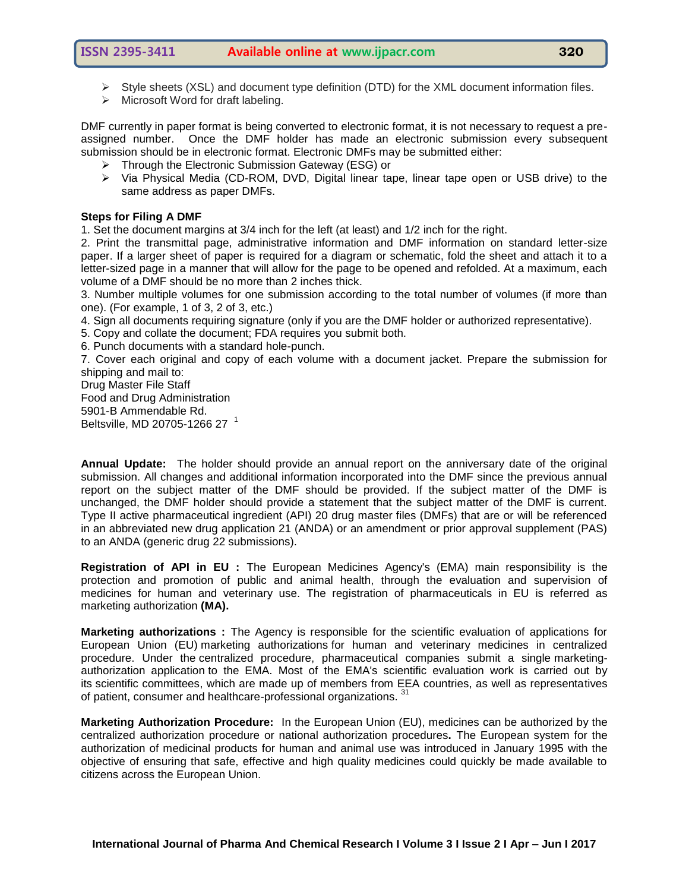- $\triangleright$  Style sheets (XSL) and document type definition (DTD) for the XML document information files.
- $\triangleright$  Microsoft Word for draft labeling.

DMF currently in paper format is being converted to electronic format, it is not necessary to request a preassigned number. Once the DMF holder has made an electronic submission every subsequent submission should be in electronic format. Electronic DMFs may be submitted either:

- $\triangleright$  Through the Electronic Submission Gateway (ESG) or
- Via Physical Media (CD-ROM, DVD, Digital linear tape, linear tape open or USB drive) to the same [address](http://www.fda.gov/Drugs/DevelopmentApprovalProcess/FormsSubmissionRequirements/DrugMasterFilesDMFs/default.htm#address) as paper DMFs.

#### **Steps for Filing A DMF**

1. Set the document margins at 3/4 inch for the left (at least) and 1/2 inch for the right.

2. Print the transmittal page, administrative information and DMF information on standard letter-size paper. If a larger sheet of paper is required for a diagram or schematic, fold the sheet and attach it to a letter-sized page in a manner that will allow for the page to be opened and refolded. At a maximum, each volume of a DMF should be no more than 2 inches thick.

3. Number multiple volumes for one submission according to the total number of volumes (if more than one). (For example, 1 of 3, 2 of 3, etc.)

4. Sign all documents requiring signature (only if you are the DMF holder or authorized representative).

5. Copy and collate the document; FDA requires you submit both.

6. Punch documents with a standard hole-punch.

7. Cover each original and copy of each volume with a document jacket. Prepare the submission for shipping and mail to:

Drug Master File Staff Food and Drug Administration 5901-B Ammendable Rd. Beltsville, MD 20705-1266 27<sup>1</sup>

**Annual Update:** The holder should provide an annual report on the anniversary date of the original submission. All changes and additional information incorporated into the DMF since the previous annual report on the subject matter of the DMF should be provided. If the subject matter of the DMF is unchanged, the DMF holder should provide a statement that the subject matter of the DMF is current. Type II active pharmaceutical ingredient (API) 20 drug master files (DMFs) that are or will be referenced in an abbreviated new drug application 21 (ANDA) or an amendment or prior approval supplement (PAS) to an ANDA (generic drug 22 submissions).

**Registration of API in EU :** The European Medicines Agency's (EMA) main responsibility is the protection and promotion of public and animal health, through the evaluation and supervision of medicines for human and veterinary use. The registration of pharmaceuticals in EU is referred as marketing authorization **(MA).**

**Marketing authorizations :** The Agency is responsible for the scientific evaluation of applications for European Union (EU) marketing authorizations for human and veterinary medicines in centralized procedure. Under the centralized procedure, pharmaceutical companies submit a single marketingauthorization application to the EMA. Most of the EMA's scientific evaluation work is carried out by its [scientific committees,](http://www.ema.europa.eu/ema/index.jsp?curl=pages/about_us/general/general_content_000217.jsp&mid=WC0b01ac0580028c77) which are made up of members from EEA countries, as well as representatives of patient, consumer and healthcare-professional organizations.<sup>31</sup>

**Marketing Authorization Procedure:** In the European Union (EU), medicines can be authorized by the centralized authorization procedure or national authorization procedures**.** The European system for the authorization of medicinal products for human and animal use was introduced in January 1995 with the objective of ensuring that safe, effective and high quality medicines could quickly be made available to citizens across the European Union.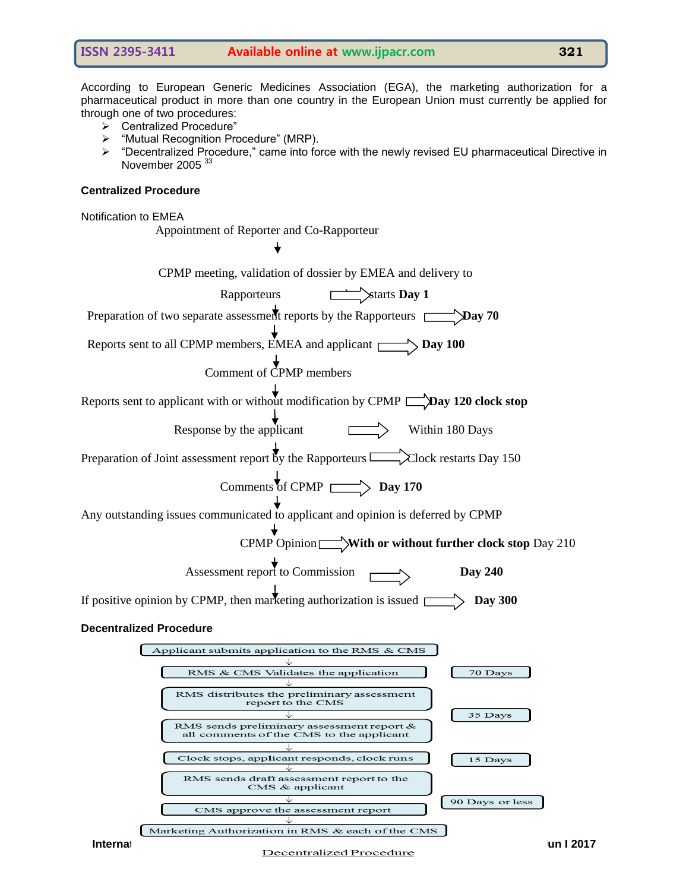According to European Generic Medicines Association (EGA), the marketing authorization for a pharmaceutical product in more than one country in the European Union must currently be applied for through one of two procedures:

- ▶ Centralized Procedure"
- **"Mutual Recognition Procedure" (MRP).**
- $\triangleright$  "Decentralized Procedure," came into force with the newly revised EU pharmaceutical Directive in November 2005<sup>33</sup>

#### **Centralized Procedure**

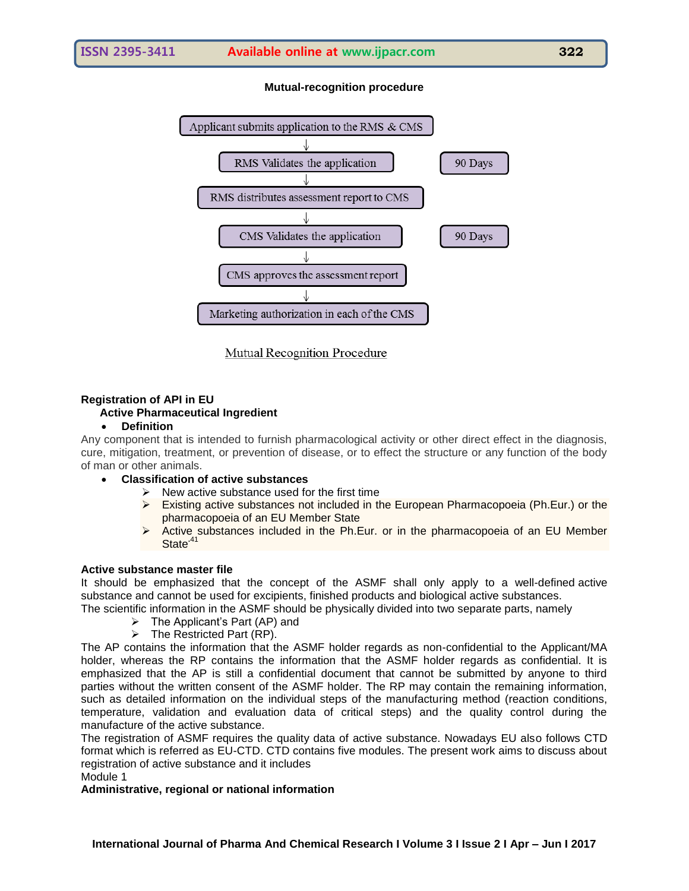# **Mutual-recognition procedure**



**Mutual Recognition Procedure** 

# **Registration of API in EU**

# **Active Pharmaceutical Ingredient**

# **Definition**

Any component that is intended to furnish pharmacological activity or other direct effect in the diagnosis, cure, mitigation, treatment, or prevention of disease, or to effect the structure or any function of the body of man or other animals.

- **Classification of active substances**
	- New active substance used for the first time  $\geq$  Existing active substances not included in the
	- Existing active substances not included in the European Pharmacopoeia (Ph.Eur.) or the pharmacopoeia of an EU Member State
	- Active substances included in the Ph.Eur. or in the pharmacopoeia of an EU Member State<sup>.4</sup>

# **Active substance master file**

It should be emphasized that the concept of the ASMF shall only apply to a well-defined active substance and cannot be used for excipients, finished products and biological active substances.

The scientific information in the ASMF should be physically divided into two separate parts, namely

- $\triangleright$  The Applicant's Part (AP) and
- $\triangleright$  The Restricted Part (RP).

The AP contains the information that the ASMF holder regards as non-confidential to the Applicant/MA holder, whereas the RP contains the information that the ASMF holder regards as confidential. It is emphasized that the AP is still a confidential document that cannot be submitted by anyone to third parties without the written consent of the ASMF holder. The RP may contain the remaining information, such as detailed information on the individual steps of the manufacturing method (reaction conditions, temperature, validation and evaluation data of critical steps) and the quality control during the manufacture of the active substance.

The registration of ASMF requires the quality data of active substance. Nowadays EU also follows CTD format which is referred as EU-CTD. CTD contains five modules. The present work aims to discuss about registration of active substance and it includes Module 1

# **Administrative, regional or national information**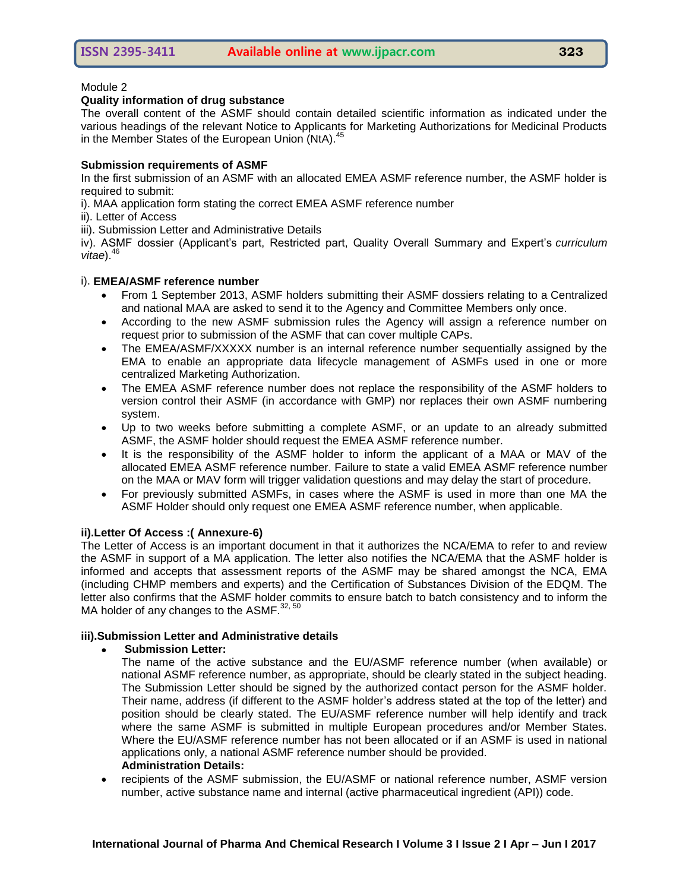#### Module 2

#### **Quality information of drug substance**

The overall content of the ASMF should contain detailed scientific information as indicated under the various headings of the relevant Notice to Applicants for Marketing Authorizations for Medicinal Products in the Member States of the European Union (NtA).<sup>45</sup>

# **Submission requirements of ASMF**

In the first submission of an ASMF with an allocated EMEA ASMF reference number, the ASMF holder is required to submit:

- i). MAA application form stating the correct EMEA ASMF reference number
- ii). Letter of Access

iii). Submission Letter and Administrative Details

iv). ASMF dossier (Applicant's part, Restricted part, Quality Overall Summary and Expert's *curriculum* vitae).<sup>46</sup>

#### i). **EMEA/ASMF reference number**

- From 1 September 2013, ASMF holders submitting their ASMF dossiers relating to a Centralized and national MAA are asked to send it to the Agency and Committee Members only once.
- According to the new ASMF submission rules the Agency will assign a reference number on request prior to submission of the ASMF that can cover multiple CAPs.
- The EMEA/ASMF/XXXXX number is an internal reference number sequentially assigned by the EMA to enable an appropriate data lifecycle management of ASMFs used in one or more centralized Marketing Authorization.
- The EMEA ASMF reference number does not replace the responsibility of the ASMF holders to version control their ASMF (in accordance with GMP) nor replaces their own ASMF numbering system.
- Up to two weeks before submitting a complete ASMF, or an update to an already submitted ASMF, the ASMF holder should request the EMEA ASMF reference number.
- It is the responsibility of the ASMF holder to inform the applicant of a MAA or MAV of the allocated EMEA ASMF reference number. Failure to state a valid EMEA ASMF reference number on the MAA or MAV form will trigger validation questions and may delay the start of procedure.
- For previously submitted ASMFs, in cases where the ASMF is used in more than one MA the ASMF Holder should only request one EMEA ASMF reference number, when applicable.

# **ii).Letter Of Access :( Annexure-6)**

The Letter of Access is an important document in that it authorizes the NCA/EMA to refer to and review the ASMF in support of a MA application. The letter also notifies the NCA/EMA that the ASMF holder is informed and accepts that assessment reports of the ASMF may be shared amongst the NCA, EMA (including CHMP members and experts) and the Certification of Substances Division of the EDQM. The letter also confirms that the ASMF holder commits to ensure batch to batch consistency and to inform the MA holder of any changes to the ASMF.<sup>32, 50</sup>

# **iii).Submission Letter and Administrative details**

**Submission Letter:**

The name of the active substance and the EU/ASMF reference number (when available) or national ASMF reference number, as appropriate, should be clearly stated in the subject heading. The Submission Letter should be signed by the authorized contact person for the ASMF holder. Their name, address (if different to the ASMF holder's address stated at the top of the letter) and position should be clearly stated. The EU/ASMF reference number will help identify and track where the same ASMF is submitted in multiple European procedures and/or Member States. Where the EU/ASMF reference number has not been allocated or if an ASMF is used in national applications only, a national ASMF reference number should be provided. **Administration Details:**

 recipients of the ASMF submission, the EU/ASMF or national reference number, ASMF version number, active substance name and internal (active pharmaceutical ingredient (API)) code.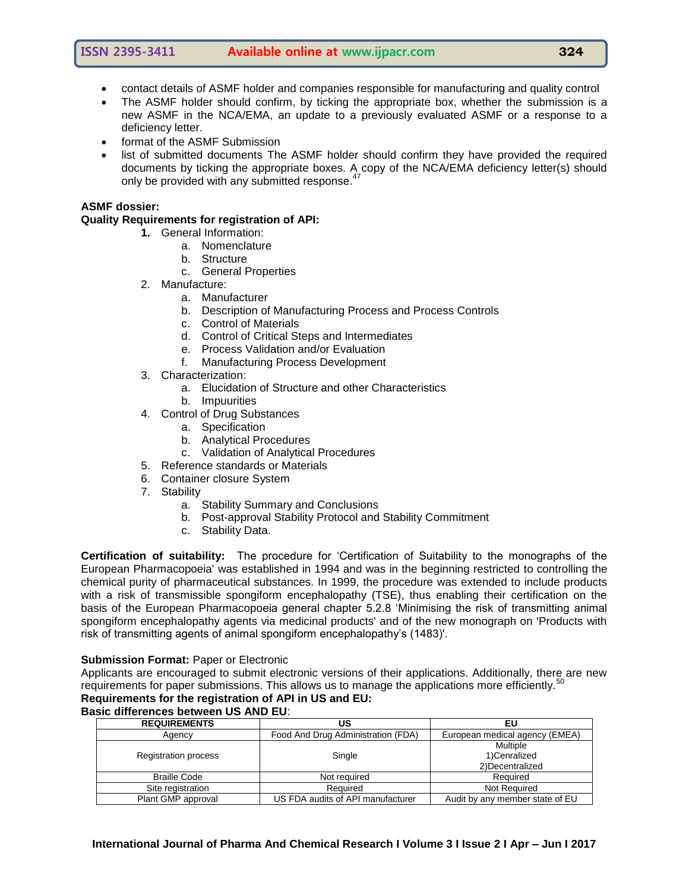- contact details of ASMF holder and companies responsible for manufacturing and quality control
- The ASMF holder should confirm, by ticking the appropriate box, whether the submission is a new ASMF in the NCA/EMA, an update to a previously evaluated ASMF or a response to a deficiency letter.
- format of the ASMF Submission
- list of submitted documents The ASMF holder should confirm they have provided the required documents by ticking the appropriate boxes. A copy of the NCA/EMA deficiency letter(s) should only be provided with any submitted response.<sup>47</sup>

#### **ASMF dossier:**

#### **Quality Requirements for registration of API:**

- **1.** General Information:
	- a. Nomenclature
	- b. Structure
		- c. General Properties
- 2. Manufacture:
	- a. Manufacturer
	- b. Description of Manufacturing Process and Process Controls
	- c. Control of Materials
	- d. Control of Critical Steps and Intermediates
	- e. Process Validation and/or Evaluation
	- f. Manufacturing Process Development
- 3. Characterization:
	- a. Elucidation of Structure and other Characteristics
	- b. Impuurities
- 4. Control of Drug Substances
	- a. Specification
	- b. Analytical Procedures
	- c. Validation of Analytical Procedures
- 5. Reference standards or Materials
- 6. Container closure System
- 7. Stability
	- a. Stability Summary and Conclusions
	- b. Post-approval Stability Protocol and Stability Commitment
	- c. Stability Data.

**Certification of suitability:** The procedure for ‗Certification of Suitability to the monographs of the European Pharmacopoeia' was established in 1994 and was in the beginning restricted to controlling the chemical purity of pharmaceutical substances. In 1999, the procedure was extended to include products with a risk of transmissible spongiform encephalopathy (TSE), thus enabling their certification on the basis of the European Pharmacopoeia general chapter 5.2.8 ‗Minimising the risk of transmitting animal spongiform encephalopathy agents via medicinal products' and of the new monograph on 'Products with risk of transmitting agents of animal spongiform encephalopathy's (1483)'.

#### **Submission Format:** Paper or Electronic

Applicants are encouraged to submit electronic versions of their applications. Additionally, there are new requirements for paper submissions. This allows us to manage the applications more efficiently.<sup>50</sup> **Requirements for the registration of API in US and EU:**

# **Basic differences between US AND EU**:

| <b>REQUIREMENTS</b>         | US                                 | ΕU                              |
|-----------------------------|------------------------------------|---------------------------------|
| Agency                      | Food And Drug Administration (FDA) | European medical agency (EMEA)  |
| <b>Registration process</b> | Single                             | Multiple                        |
|                             |                                    | 1)Cenralized                    |
|                             |                                    | 2) Decentralized                |
| <b>Braille Code</b>         | Not required                       | Required                        |
| Site registration           | Required                           | <b>Not Required</b>             |
| Plant GMP approval          | US FDA audits of API manufacturer  | Audit by any member state of EU |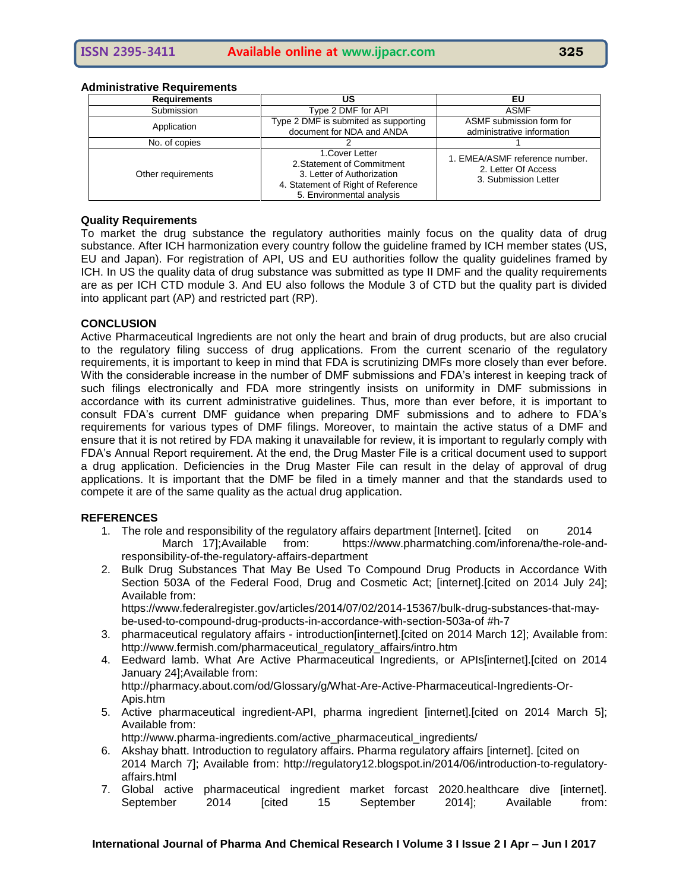#### **Administrative Requirements**

| <b>Requirements</b> | US                                                                                                                                             | EU                                                                            |
|---------------------|------------------------------------------------------------------------------------------------------------------------------------------------|-------------------------------------------------------------------------------|
| Submission          | Type 2 DMF for API                                                                                                                             | <b>ASMF</b>                                                                   |
| Application         | Type 2 DMF is submited as supporting<br>document for NDA and ANDA                                                                              | ASMF submission form for<br>administrative information                        |
| No. of copies       |                                                                                                                                                |                                                                               |
| Other requirements  | 1. Cover Letter<br>2. Statement of Commitment<br>3. Letter of Authorization<br>4. Statement of Right of Reference<br>5. Environmental analysis | 1. EMEA/ASMF reference number.<br>2. Letter Of Access<br>3. Submission Letter |

#### **Quality Requirements**

To market the drug substance the regulatory authorities mainly focus on the quality data of drug substance. After ICH harmonization every country follow the guideline framed by ICH member states (US, EU and Japan). For registration of API, US and EU authorities follow the quality guidelines framed by ICH. In US the quality data of drug substance was submitted as type II DMF and the quality requirements are as per ICH CTD module 3. And EU also follows the Module 3 of CTD but the quality part is divided into applicant part (AP) and restricted part (RP).

#### **CONCLUSION**

Active Pharmaceutical Ingredients are not only the heart and brain of drug products, but are also crucial to the regulatory filing success of drug applications. From the current scenario of the regulatory requirements, it is important to keep in mind that FDA is scrutinizing DMFs more closely than ever before. With the considerable increase in the number of DMF submissions and FDA's interest in keeping track of such filings electronically and FDA more stringently insists on uniformity in DMF submissions in accordance with its current administrative guidelines. Thus, more than ever before, it is important to consult FDA's current DMF guidance when preparing DMF submissions and to adhere to FDA's requirements for various types of DMF filings. Moreover, to maintain the active status of a DMF and ensure that it is not retired by FDA making it unavailable for review, it is important to regularly comply with FDA's Annual Report requirement. At the end, the Drug Master File is a critical document used to support a drug application. Deficiencies in the Drug Master File can result in the delay of approval of drug applications. It is important that the DMF be filed in a timely manner and that the standards used to compete it are of the same quality as the actual drug application.

#### **REFERENCES**

- 1. The role and responsibility of the regulatory affairs department [Internet]. [cited on 2014 March 17];Available from: [https://www.pharmatching.com/inforena/the-role-and](https://www.pharmatching.com/inforena/the-role-and-responsibility-of-the-regulatory-affairs-department)[responsibility-of-the-regulatory-affairs-department](https://www.pharmatching.com/inforena/the-role-and-responsibility-of-the-regulatory-affairs-department)
- 2. Bulk Drug Substances That May Be Used To Compound Drug Products in Accordance With Section 503A of the Federal Food, Drug and Cosmetic Act; [internet].[cited on 2014 July 24]; Available from:

[https://www.federalregister.gov/articles/2014/07/02/2014-15367/bulk-drug-substances-that-may](https://www.federalregister.gov/articles/2014/07/02/2014-15367/bulk-drug-substances-that-may-be-used-to-compound-drug-products-in-accordance-with-section-503a-of)[be-used-to-compound-drug-products-in-accordance-with-section-503a-of](https://www.federalregister.gov/articles/2014/07/02/2014-15367/bulk-drug-substances-that-may-be-used-to-compound-drug-products-in-accordance-with-section-503a-of) #h-7

- 3. pharmaceutical regulatory affairs introduction[internet].[cited on 2014 March 12]; Available from: [http://www.fermish.com/pharmaceutical\\_regulatory\\_affairs/intro.htm](http://www.fermish.com/pharmaceutical_regulatory_affairs/intro.htm)
- 4. Eedward lamb. What Are Active Pharmaceutical Ingredients, or APIs[internet].[cited on 2014 January 24];Available from: [http://pharmacy.about.com/od/Glossary/g/What-Are-Active-Pharmaceutical-Ingredients-Or-](http://pharmacy.about.com/od/Glossary/g/What-Are-Active-Pharmaceutical-Ingredients-Or-Apis.htm)[Apis.htm](http://pharmacy.about.com/od/Glossary/g/What-Are-Active-Pharmaceutical-Ingredients-Or-Apis.htm)
- 5. Active pharmaceutical ingredient-API, pharma ingredient [internet].[cited on 2014 March 5]; Available from:

[http://www.pharma-ingredients.com/active\\_pharmaceutical\\_ingredients/](http://www.pharma-ingredients.com/active_pharmaceutical_ingredients/)

- 6. Akshay bhatt. Introduction to regulatory affairs. Pharma regulatory affairs [internet]. [cited on 2014 March 7]; Available from: [http://regulatory12.blogspot.in/2014/06/introduction-to-regulatory](http://regulatory12.blogspot.in/2014/06/introduction-to-regulatory-affairs.html)[affairs.html](http://regulatory12.blogspot.in/2014/06/introduction-to-regulatory-affairs.html)
- 7. Global active pharmaceutical ingredient market forcast 2020.healthcare dive [internet]. September 2014 [cited 15 September 2014]; Available from: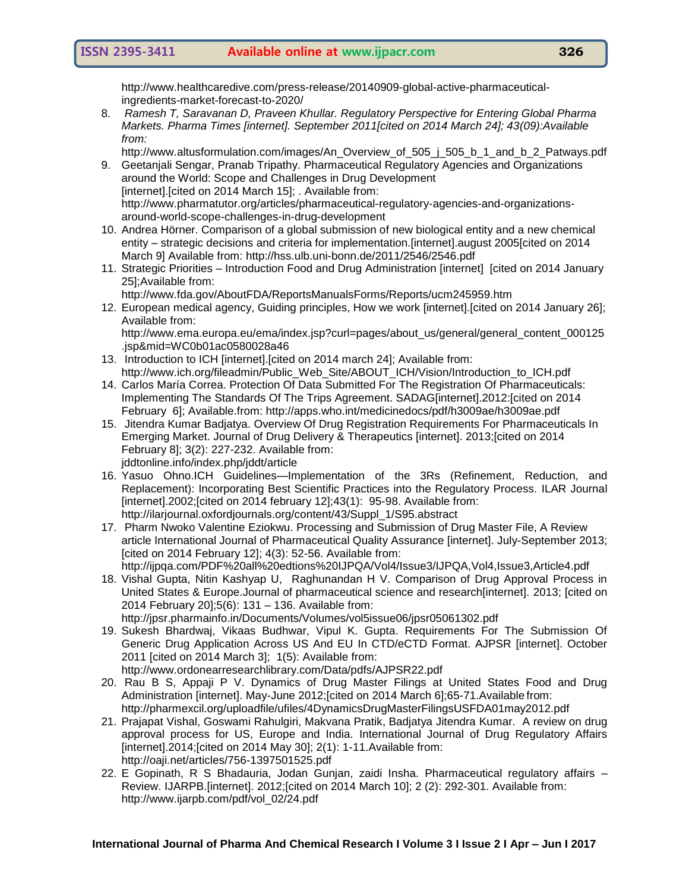http://www.healthcaredive.com/press-release/20140909-global-active-pharmaceuticalingredients-market-forecast-to-2020/

8. *Ramesh T, Saravanan D, Praveen Khullar. Regulatory Perspective for Entering Global Pharma Markets. Pharma Times [internet]. September 2011[cited on 2014 March 24]; 43(09):Available from:* 

[http://www.altusformulation.com/images/An\\_Overview\\_of\\_505\\_j\\_505\\_b\\_1\\_and\\_b\\_2\\_Patways.pdf](http://www.altusformulation.com/images/An_Overview_of_505_j_505_b_1_and_b_2_Patways.pdf) 9. Geetanjali Sengar, Pranab Tripathy. Pharmaceutical Regulatory Agencies and Organizations

- around the World: Scope and Challenges in Drug Development [internet].[cited on 2014 March 15]; . Available from: [http://www.pharmatutor.org/articles/pharmaceutical-regulatory-agencies-and-organizations](http://www.pharmatutor.org/articles/pharmaceutical-regulatory-agencies-and-organizations-around-world-scope-challenges-in-drug-development)[around-world-scope-challenges-in-drug-development](http://www.pharmatutor.org/articles/pharmaceutical-regulatory-agencies-and-organizations-around-world-scope-challenges-in-drug-development)
- 10. Andrea Hörner. Comparison of a global submission of new biological entity and a new chemical entity – strategic decisions and criteria for implementation.[internet].august 2005[cited on 2014 March 9] Available from: http://hss.ulb.uni-bonn.de/2011/2546/2546.pdf
- 11. Strategic Priorities Introduction Food and Drug Administration [internet] [cited on 2014 January 25];Available from:
	- <http://www.fda.gov/AboutFDA/ReportsManualsForms/Reports/ucm245959.htm>
- 12. European medical agency, Guiding principles, How we work [internet].[cited on 2014 January 26]; Available from:

[http://www.ema.europa.eu/ema/index.jsp?curl=pages/about\\_us/general/general\\_content\\_000125](http://www.ema.europa.eu/ema/index.jsp?curl=pages/about_us/general/general_content_000125.jsp&mid=WC0b01ac0580028a46) [.jsp&mid=WC0b01ac0580028a46](http://www.ema.europa.eu/ema/index.jsp?curl=pages/about_us/general/general_content_000125.jsp&mid=WC0b01ac0580028a46)

- 13. Introduction to ICH [internet].[cited on 2014 march 24]; Available from: [http://www.ich.org/fileadmin/Public\\_Web\\_Site/ABOUT\\_ICH/Vision/Introduction\\_to\\_ICH.pdf](http://www.ich.org/fileadmin/Public_Web_Site/ABOUT_ICH/Vision/Introduction_to_ICH.pdf)
- 14. Carlos María Correa. Protection Of Data Submitted For The Registration Of Pharmaceuticals: Implementing The Standards Of The Trips Agreement. SADAG[internet].2012:[cited on 2014 February 6]; Available.from: http://apps.who.int/medicinedocs/pdf/h3009ae/h3009ae.pdf
- 15. Jitendra Kumar Badjatya. Overview Of Drug Registration Requirements For Pharmaceuticals In Emerging Market. Journal of Drug Delivery & Therapeutics [internet]. 2013;[cited on 2014 February 8]; 3(2): 227-232. Available from: jddtonline.info/index.php/jddt/article
- 16. Yasuo Ohno.ICH Guidelines—Implementation of the 3Rs (Refinement, Reduction, and Replacement): Incorporating Best Scientific Practices into the Regulatory Process. ILAR Journal [internet].2002;[cited on 2014 february 12][;43\(1\)](file:///C:/Users/Administrator/Desktop/Printout/43(1): 95-98. Available from: http://ilarjournal.oxfordjournals.org/content/43/Suppl\_1/S95.abstract
- 17. Pharm Nwoko Valentine Eziokwu. Processing and Submission of Drug Master File, A Review article International Journal of Pharmaceutical Quality Assurance [internet]. July-September 2013; [cited on 2014 February 12]; 4(3): 52-56. Available from: <http://ijpqa.com/PDF%20all%20edtions%20IJPQA/Vol4/Issue3/IJPQA,Vol4,Issue3,Article4.pdf>
- 18. Vishal Gupta, Nitin Kashyap U, Raghunandan H V. Comparison of Drug Approval Process in United States & Europe.Journal of pharmaceutical science and research[internet]. 2013; [cited on 2014 February 20];5(6): 131 – 136. Available from: http://jpsr.pharmainfo.in/Documents/Volumes/vol5issue06/jpsr05061302.pdf
- 19. Sukesh Bhardwaj, Vikaas Budhwar, Vipul K. Gupta. Requirements For The Submission Of Generic Drug Application Across US And EU In CTD/eCTD Format. AJPSR [internet]. October 2011 [cited on 2014 March 3]; 1(5): Available from: <http://www.ordonearresearchlibrary.com/Data/pdfs/AJPSR22.pdf>
- 20. Rau B S, Appaji P V. Dynamics of Drug Master Filings at United States Food and Drug Administration [internet]. May-June 2012;[cited on 2014 March 6];65-71.Available from: http://pharmexcil.org/uploadfile/ufiles/4DynamicsDrugMasterFilingsUSFDA01may2012.pdf
- 21. Prajapat Vishal, Goswami Rahulgiri, Makvana Pratik, Badjatya Jitendra Kumar. A review on drug approval process for US, Europe and India. International Journal of Drug Regulatory Affairs [internet].2014;[cited on 2014 May 30]; 2(1): 1-11.Available from: http://oaji.net/articles/756-1397501525.pdf
- 22. E Gopinath, R S Bhadauria, Jodan Gunjan, zaidi Insha. Pharmaceutical regulatory affairs Review. IJARPB.[internet]. 2012;[cited on 2014 March 10]; 2 (2): 292-301. Available from: [http://www.ijarpb.com/pdf/vol\\_02/24.pdf](http://www.ijarpb.com/pdf/vol_02/24.pdf)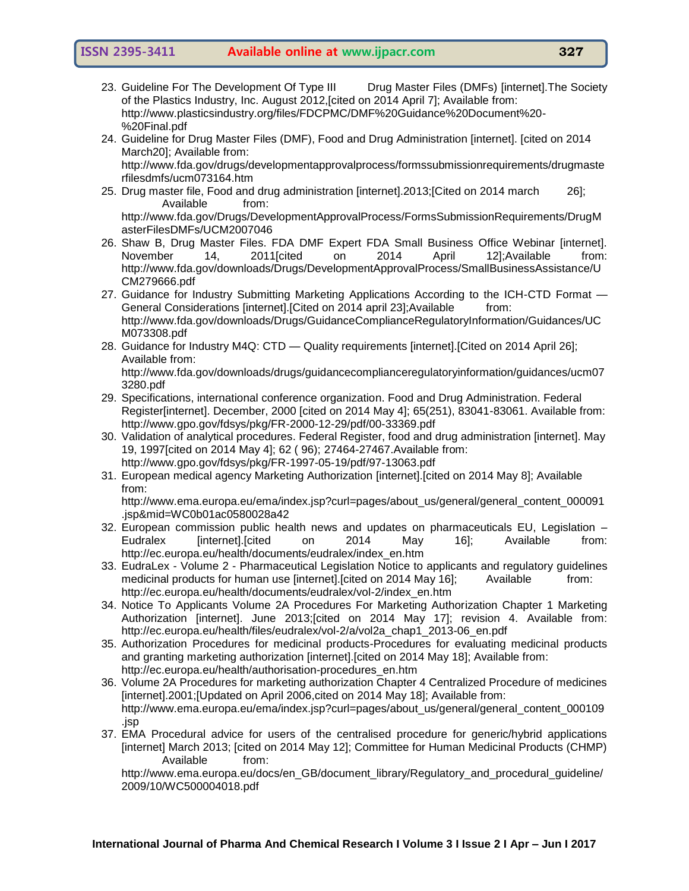- 23. Guideline For The Development Of Type III Drug Master Files (DMFs) [internet]. The Society of the Plastics Industry, Inc. August 2012,[cited on 2014 April 7]; Available from: http://www.plasticsindustry.org/files/FDCPMC/DMF%20Guidance%20Document%20- %20Final.pdf
- 24. Guideline for Drug Master Files (DMF), Food and Drug Administration [internet]. [cited on 2014 March20]; Available from: [http://www.fda.gov/drugs/developmentapprovalprocess/formssubmissionrequirements/drugmaste](http://www.fda.gov/drugs/developmentapprovalprocess/formssubmissionrequirements/drugmasterfilesdmfs/ucm073164.htm)
- [rfilesdmfs/ucm073164.htm](http://www.fda.gov/drugs/developmentapprovalprocess/formssubmissionrequirements/drugmasterfilesdmfs/ucm073164.htm) 25. Drug master file, Food and drug administration [internet].2013;[Cited on 2014 march 26]; Available from:

[http://www.fda.gov/Drugs/DevelopmentApprovalProcess/FormsSubmissionRequirements/DrugM](http://www.fda.gov/Drugs/DevelopmentApprovalProcess/FormsSubmissionRequirements/DrugMasterFilesDMFs/UCM2007046) [asterFilesDMFs/UCM2007046](http://www.fda.gov/Drugs/DevelopmentApprovalProcess/FormsSubmissionRequirements/DrugMasterFilesDMFs/UCM2007046)

- 26. Shaw B, Drug Master Files. FDA DMF Expert FDA Small Business Office Webinar [internet]. November 14, 2011[cited on 2014 April 12];Available from: http://www.fda.gov/downloads/Drugs/DevelopmentApprovalProcess/SmallBusinessAssistance/U CM279666.pdf
- 27. Guidance for Industry Submitting Marketing Applications According to the ICH-CTD Format -General Considerations [internet]. [Cited on 2014 april 23]; Available from: [http://www.fda.gov/downloads/Drugs/GuidanceComplianceRegulatoryInformation/Guidances/UC](http://www.fda.gov/downloads/Drugs/GuidanceComplianceRegulatoryInformation/Guidances/UCM073308.pdf) [M073308.pdf](http://www.fda.gov/downloads/Drugs/GuidanceComplianceRegulatoryInformation/Guidances/UCM073308.pdf)
- 28. Guidance for Industry M4Q: CTD Quality requirements [internet].[Cited on 2014 April 26]; Available from:

[http://www.fda.gov/downloads/drugs/guidancecomplianceregulatoryinformation/guidances/ucm07](http://www.fda.gov/downloads/drugs/guidancecomplianceregulatoryinformation/guidances/ucm073280.pdf) [3280.pdf](http://www.fda.gov/downloads/drugs/guidancecomplianceregulatoryinformation/guidances/ucm073280.pdf)

- 29. Specifications, international conference organization. Food and Drug Administration. Federal Register[internet]. December, 2000 [cited on 2014 May 4]; 65(251), 83041-83061. Available from: <http://www.gpo.gov/fdsys/pkg/FR-2000-12-29/pdf/00-33369.pdf>
- 30. Validation of analytical procedures. Federal Register, food and drug administration [internet]. May 19, 1997[cited on 2014 May 4]; 62 ( 96); 27464-27467.Available from: http://www.gpo.gov/fdsys/pkg/FR-1997-05-19/pdf/97-13063.pdf
- 31. European medical agency Marketing Authorization [internet].[cited on 2014 May 8]; Available from:

[http://www.ema.europa.eu/ema/index.jsp?curl=pages/about\\_us/general/general\\_content\\_000091](http://www.ema.europa.eu/ema/index.jsp?curl=pages/about_us/general/general_content_000091.jsp&mid=WC0b01ac0580028a42) [.jsp&mid=WC0b01ac0580028a42](http://www.ema.europa.eu/ema/index.jsp?curl=pages/about_us/general/general_content_000091.jsp&mid=WC0b01ac0580028a42)

- 32. European commission public health news and updates on pharmaceuticals EU, Legislation Eudralex [internet].[cited on 2014 May 16]; Available from: [http://ec.europa.eu/health/documents/eudralex/index\\_en.htm](http://ec.europa.eu/health/documents/eudralex/index_en.htm)
- 33. EudraLex Volume 2 Pharmaceutical Legislation Notice to applicants and regulatory guidelines medicinal products for human use [internet].[cited on 2014 May 16]; Available from: [http://ec.europa.eu/health/documents/eudralex/vol-2/index\\_en.htm](http://ec.europa.eu/health/documents/eudralex/vol-2/index_en.htm)
- 34. Notice To Applicants Volume 2A Procedures For Marketing Authorization Chapter 1 Marketing Authorization [internet]. June 2013;[cited on 2014 May 17]; revision 4. Available from: [http://ec.europa.eu/health/files/eudralex/vol-2/a/vol2a\\_chap1\\_2013-06\\_en.pdf](http://ec.europa.eu/health/files/eudralex/vol-2/a/vol2a_chap1_2013-06_en.pdf)
- 35. Authorization Procedures for medicinal products-Procedures for evaluating medicinal products and granting marketing authorization [internet].[cited on 2014 May 18]; Available from: [http://ec.europa.eu/health/authorisation-procedures\\_en.htm](http://ec.europa.eu/health/authorisation-procedures_en.htm)
- 36. Volume 2A Procedures for marketing authorization Chapter 4 Centralized Procedure of medicines [internet].2001;[Updated on April 2006,cited on 2014 May 18]; Available from: [http://www.ema.europa.eu/ema/index.jsp?curl=pages/about\\_us/general/general\\_content\\_000109](http://www.ema.europa.eu/ema/index.jsp?curl=pages/about_us/general/general_content_000109.jsp) [.jsp](http://www.ema.europa.eu/ema/index.jsp?curl=pages/about_us/general/general_content_000109.jsp)
- 37. EMA Procedural advice for users of the centralised procedure for generic/hybrid applications [internet] March 2013; [cited on 2014 May 12]; Committee for Human Medicinal Products (CHMP) Available from:

[http://www.ema.europa.eu/docs/en\\_GB/document\\_library/Regulatory\\_and\\_procedural\\_guideline/](http://www.ema.europa.eu/docs/en_GB/document_library/Regulatory_and_procedural_guideline/2009/10/WC500004018.pdf) [2009/10/WC500004018.pdf](http://www.ema.europa.eu/docs/en_GB/document_library/Regulatory_and_procedural_guideline/2009/10/WC500004018.pdf)